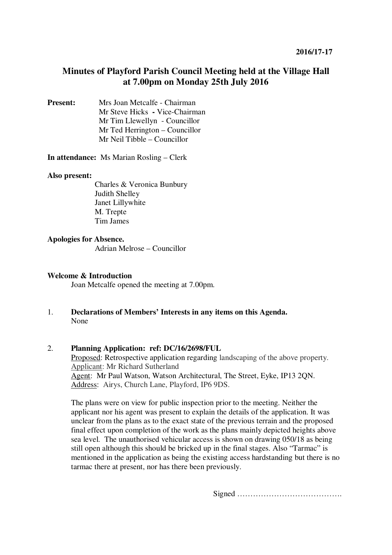# **Minutes of Playford Parish Council Meeting held at the Village Hall at 7.00pm on Monday 25th July 2016**

**Present:** Mrs Joan Metcalfe - Chairman Mr Steve Hicks **-** Vice-Chairman Mr Tim Llewellyn- Councillor Mr Ted Herrington – Councillor Mr Neil Tibble – Councillor

**In attendance:** Ms Marian Rosling – Clerk

#### **Also present:**

Charles & Veronica Bunbury Judith Shelley Janet Lillywhite M. Trepte Tim James

#### **Apologies for Absence.**

Adrian Melrose – Councillor

#### **Welcome & Introduction**

Joan Metcalfe opened the meeting at 7.00pm.

1. **Declarations of Members' Interests in any items on this Agenda.**  None

#### 2. **Planning Application: ref: DC/16/2698/FUL**

Proposed: Retrospective application regarding landscaping of the above property. Applicant: Mr Richard Sutherland Agent: Mr Paul Watson, Watson Architectural, The Street, Eyke, IP13 2QN. Address: Airys, Church Lane, Playford, IP6 9DS.

The plans were on view for public inspection prior to the meeting. Neither the applicant nor his agent was present to explain the details of the application. It was unclear from the plans as to the exact state of the previous terrain and the proposed final effect upon completion of the work as the plans mainly depicted heights above sea level. The unauthorised vehicular access is shown on drawing 050/18 as being still open although this should be bricked up in the final stages. Also "Tarmac" is mentioned in the application as being the existing access hardstanding but there is no tarmac there at present, nor has there been previously.

Signed ………………………………….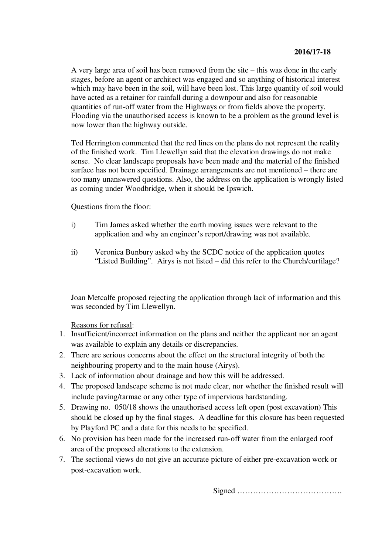A very large area of soil has been removed from the site – this was done in the early stages, before an agent or architect was engaged and so anything of historical interest which may have been in the soil, will have been lost. This large quantity of soil would have acted as a retainer for rainfall during a downpour and also for reasonable quantities of run-off water from the Highways or from fields above the property. Flooding via the unauthorised access is known to be a problem as the ground level is now lower than the highway outside.

Ted Herrington commented that the red lines on the plans do not represent the reality of the finished work. Tim Llewellyn said that the elevation drawings do not make sense. No clear landscape proposals have been made and the material of the finished surface has not been specified. Drainage arrangements are not mentioned – there are too many unanswered questions. Also, the address on the application is wrongly listed as coming under Woodbridge, when it should be Ipswich.

## Questions from the floor:

- i) Tim James asked whether the earth moving issues were relevant to the application and why an engineer's report/drawing was not available.
- ii) Veronica Bunbury asked why the SCDC notice of the application quotes "Listed Building". Airys is not listed – did this refer to the Church/curtilage?

Joan Metcalfe proposed rejecting the application through lack of information and this was seconded by Tim Llewellyn.

## Reasons for refusal:

- 1. Insufficient/incorrect information on the plans and neither the applicant nor an agent was available to explain any details or discrepancies.
- 2. There are serious concerns about the effect on the structural integrity of both the neighbouring property and to the main house (Airys).
- 3. Lack of information about drainage and how this will be addressed.
- 4. The proposed landscape scheme is not made clear, nor whether the finished result will include paving/tarmac or any other type of impervious hardstanding.
- 5. Drawing no. 050/18 shows the unauthorised access left open (post excavation) This should be closed up by the final stages. A deadline for this closure has been requested by Playford PC and a date for this needs to be specified.
- 6. No provision has been made for the increased run-off water from the enlarged roof area of the proposed alterations to the extension.
- 7. The sectional views do not give an accurate picture of either pre-excavation work or post-excavation work.

Signed ………………………………….